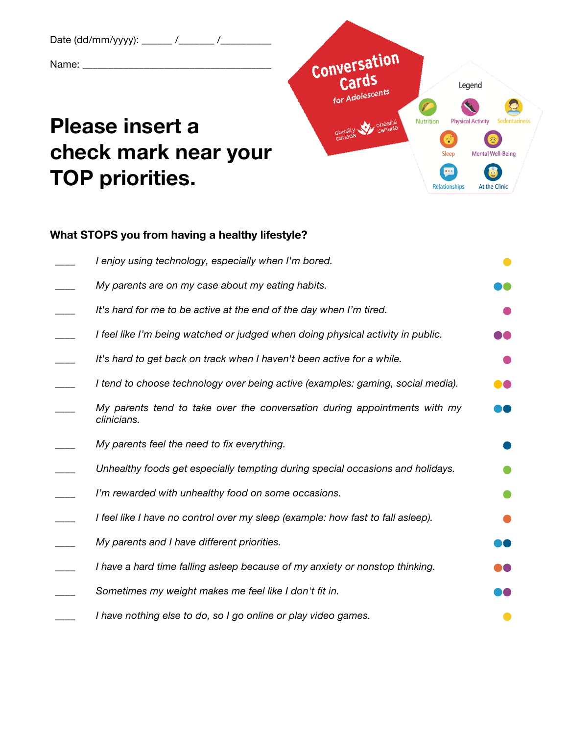Date (dd/mm/yyyy): \_\_\_\_\_\_ /\_\_\_\_\_\_ /\_\_\_\_ Name: \_\_\_\_\_\_\_\_\_\_\_\_\_\_\_\_\_\_\_\_\_\_\_\_\_\_\_\_\_\_\_\_\_\_\_\_\_

## **Please insert a check mark near your TOP priorities.**



## **What STOPS you from having a healthy lifestyle?**

| I enjoy using technology, especially when I'm bored.                                     |  |
|------------------------------------------------------------------------------------------|--|
| My parents are on my case about my eating habits.                                        |  |
| It's hard for me to be active at the end of the day when I'm tired.                      |  |
| I feel like I'm being watched or judged when doing physical activity in public.          |  |
| It's hard to get back on track when I haven't been active for a while.                   |  |
| I tend to choose technology over being active (examples: gaming, social media).          |  |
| My parents tend to take over the conversation during appointments with my<br>clinicians. |  |
| My parents feel the need to fix everything.                                              |  |
| Unhealthy foods get especially tempting during special occasions and holidays.           |  |
| I'm rewarded with unhealthy food on some occasions.                                      |  |
| I feel like I have no control over my sleep (example: how fast to fall asleep).          |  |
| My parents and I have different priorities.                                              |  |
| I have a hard time falling asleep because of my anxiety or nonstop thinking.             |  |
| Sometimes my weight makes me feel like I don't fit in.                                   |  |
| I have nothing else to do, so I go online or play video games.                           |  |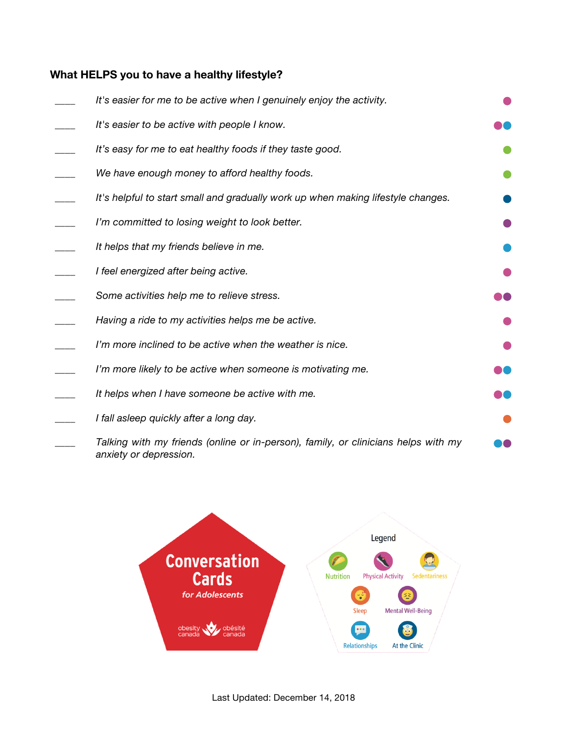## **What HELPS you to have a healthy lifestyle?**

| It's easier for me to be active when I genuinely enjoy the activity.                                         |  |
|--------------------------------------------------------------------------------------------------------------|--|
| It's easier to be active with people I know.                                                                 |  |
| It's easy for me to eat healthy foods if they taste good.                                                    |  |
| We have enough money to afford healthy foods.                                                                |  |
| It's helpful to start small and gradually work up when making lifestyle changes.                             |  |
| I'm committed to losing weight to look better.                                                               |  |
| It helps that my friends believe in me.                                                                      |  |
| I feel energized after being active.                                                                         |  |
| Some activities help me to relieve stress.                                                                   |  |
| Having a ride to my activities helps me be active.                                                           |  |
| I'm more inclined to be active when the weather is nice.                                                     |  |
| I'm more likely to be active when someone is motivating me.                                                  |  |
| It helps when I have someone be active with me.                                                              |  |
| I fall asleep quickly after a long day.                                                                      |  |
| Talking with my friends (online or in-person), family, or clinicians helps with my<br>anxiety or depression. |  |

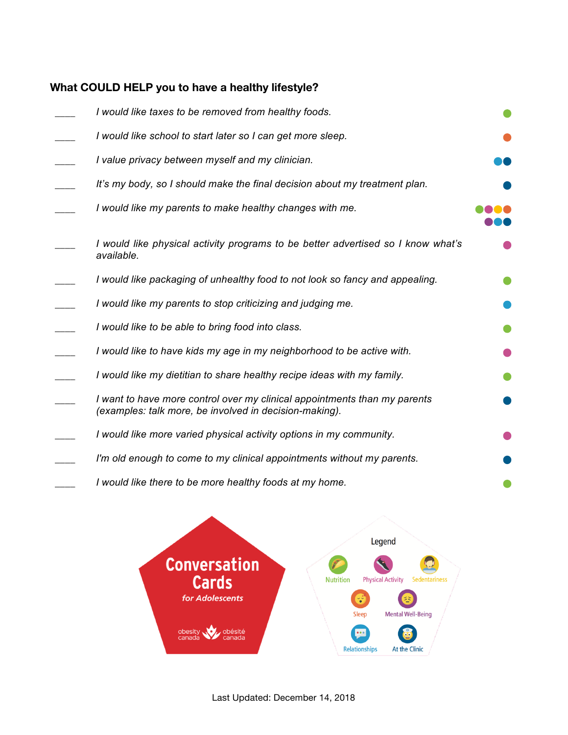## **What COULD HELP you to have a healthy lifestyle?**

| I would like taxes to be removed from healthy foods.                                                                                |  |
|-------------------------------------------------------------------------------------------------------------------------------------|--|
| I would like school to start later so I can get more sleep.                                                                         |  |
| I value privacy between myself and my clinician.                                                                                    |  |
| It's my body, so I should make the final decision about my treatment plan.                                                          |  |
| I would like my parents to make healthy changes with me.                                                                            |  |
| I would like physical activity programs to be better advertised so I know what's<br>available.                                      |  |
| I would like packaging of unhealthy food to not look so fancy and appealing.                                                        |  |
| I would like my parents to stop criticizing and judging me.                                                                         |  |
| I would like to be able to bring food into class.                                                                                   |  |
| I would like to have kids my age in my neighborhood to be active with.                                                              |  |
| I would like my dietitian to share healthy recipe ideas with my family.                                                             |  |
| I want to have more control over my clinical appointments than my parents<br>(examples: talk more, be involved in decision-making). |  |
| I would like more varied physical activity options in my community.                                                                 |  |
| I'm old enough to come to my clinical appointments without my parents.                                                              |  |
| I would like there to be more healthy foods at my home.                                                                             |  |